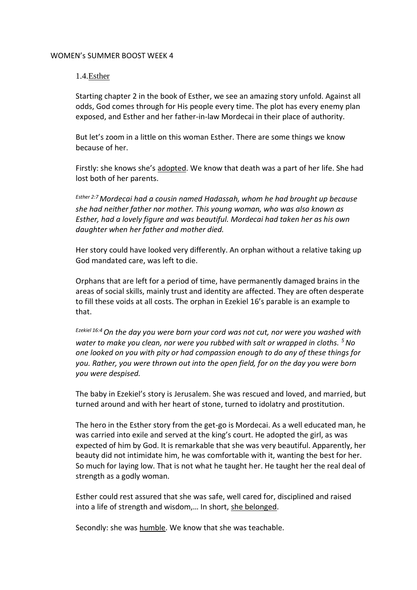# WOMEN's SUMMER BOOST WEEK 4

# 1.4.Esther

Starting chapter 2 in the book of Esther, we see an amazing story unfold. Against all odds, God comes through for His people every time. The plot has every enemy plan exposed, and Esther and her father-in-law Mordecai in their place of authority.

But let's zoom in a little on this woman Esther. There are some things we know because of her.

Firstly: she knows she's adopted. We know that death was a part of her life. She had lost both of her parents.

*Esther 2:7 Mordecai had a cousin named Hadassah, whom he had brought up because she had neither father nor mother. This young woman, who was also known as Esther, had a lovely figure and was beautiful. Mordecai had taken her as his own daughter when her father and mother died.*

Her story could have looked very differently. An orphan without a relative taking up God mandated care, was left to die.

Orphans that are left for a period of time, have permanently damaged brains in the areas of social skills, mainly trust and identity are affected. They are often desperate to fill these voids at all costs. The orphan in Ezekiel 16's parable is an example to that.

*Ezekiel 16:4On the day you were born your cord was not cut, nor were you washed with water to make you clean, nor were you rubbed with salt or wrapped in cloths. <sup>5</sup>No one looked on you with pity or had compassion enough to do any of these things for you. Rather, you were thrown out into the open field, for on the day you were born you were despised.*

The baby in Ezekiel's story is Jerusalem. She was rescued and loved, and married, but turned around and with her heart of stone, turned to idolatry and prostitution.

The hero in the Esther story from the get-go is Mordecai. As a well educated man, he was carried into exile and served at the king's court. He adopted the girl, as was expected of him by God. It is remarkable that she was very beautiful. Apparently, her beauty did not intimidate him, he was comfortable with it, wanting the best for her. So much for laying low. That is not what he taught her. He taught her the real deal of strength as a godly woman.

Esther could rest assured that she was safe, well cared for, disciplined and raised into a life of strength and wisdom,… In short, she belonged.

Secondly: she was humble. We know that she was teachable.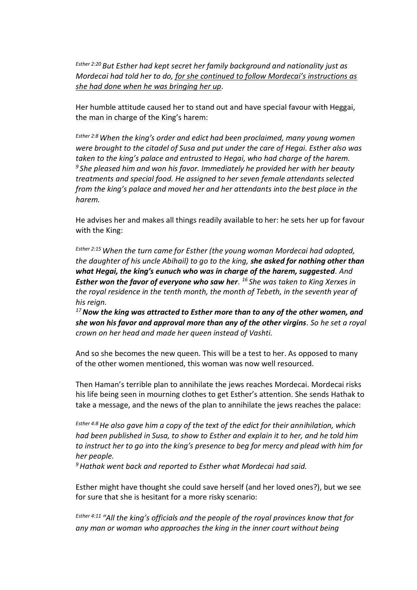*Esther 2:20 But Esther had kept secret her family background and nationality just as Mordecai had told her to do, for she continued to follow Mordecai's instructions as she had done when he was bringing her up.*

Her humble attitude caused her to stand out and have special favour with Heggai, the man in charge of the King's harem:

*Esther 2:8When the king's order and edict had been proclaimed, many young women were brought to the citadel of Susa and put under the care of Hegai. Esther also was taken to the king's palace and entrusted to Hegai, who had charge of the harem. <sup>9</sup> She pleased him and won his favor. Immediately he provided her with her beauty treatments and special food. He assigned to her seven female attendants selected from the king's palace and moved her and her attendants into the best place in the harem.*

He advises her and makes all things readily available to her: he sets her up for favour with the King:

*Esther 2:15When the turn came for Esther (the young woman Mordecai had adopted, the daughter of his uncle Abihail) to go to the king, she asked for nothing other than what Hegai, the king's eunuch who was in charge of the harem, suggested. And Esther won the favor of everyone who saw her. <sup>16</sup> She was taken to King Xerxes in the royal residence in the tenth month, the month of Tebeth, in the seventh year of his reign.*

*<sup>17</sup>Now the king was attracted to Esther more than to any of the other women, and she won his favor and approval more than any of the other virgins. So he set a royal crown on her head and made her queen instead of Vashti.* 

And so she becomes the new queen. This will be a test to her. As opposed to many of the other women mentioned, this woman was now well resourced.

Then Haman's terrible plan to annihilate the jews reaches Mordecai. Mordecai risks his life being seen in mourning clothes to get Esther's attention. She sends Hathak to take a message, and the news of the plan to annihilate the jews reaches the palace:

*Esther 4:8He also gave him a copy of the text of the edict for their annihilation, which had been published in Susa, to show to Esther and explain it to her, and he told him to instruct her to go into the king's presence to beg for mercy and plead with him for her people.*

*<sup>9</sup>Hathak went back and reported to Esther what Mordecai had said.* 

Esther might have thought she could save herself (and her loved ones?), but we see for sure that she is hesitant for a more risky scenario:

*Esther 4:11 "All the king's officials and the people of the royal provinces know that for any man or woman who approaches the king in the inner court without being*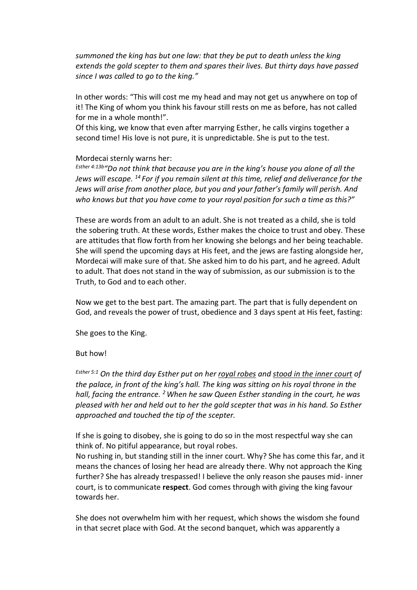*summoned the king has but one law: that they be put to death unless the king extends the gold scepter to them and spares their lives. But thirty days have passed since I was called to go to the king."*

In other words: "This will cost me my head and may not get us anywhere on top of it! The King of whom you think his favour still rests on me as before, has not called for me in a whole month!".

Of this king, we know that even after marrying Esther, he calls virgins together a second time! His love is not pure, it is unpredictable. She is put to the test.

### Mordecai sternly warns her:

*Esther 4:13b"Do not think that because you are in the king's house you alone of all the Jews will escape. <sup>14</sup> For if you remain silent at this time, relief and deliverance for the Jews will arise from another place, but you and your father's family will perish. And who knows but that you have come to your royal position for such a time as this?"*

These are words from an adult to an adult. She is not treated as a child, she is told the sobering truth. At these words, Esther makes the choice to trust and obey. These are attitudes that flow forth from her knowing she belongs and her being teachable. She will spend the upcoming days at His feet, and the jews are fasting alongside her, Mordecai will make sure of that. She asked him to do his part, and he agreed. Adult to adult. That does not stand in the way of submission, as our submission is to the Truth, to God and to each other.

Now we get to the best part. The amazing part. The part that is fully dependent on God, and reveals the power of trust, obedience and 3 days spent at His feet, fasting:

She goes to the King.

#### But how!

*Esther 5:1 On the third day Esther put on her royal robes and stood in the inner court of the palace, in front of the king's hall. The king was sitting on his royal throne in the hall, facing the entrance. <sup>2</sup>When he saw Queen Esther standing in the court, he was pleased with her and held out to her the gold scepter that was in his hand. So Esther approached and touched the tip of the scepter.*

If she is going to disobey, she is going to do so in the most respectful way she can think of. No pitiful appearance, but royal robes.

No rushing in, but standing still in the inner court. Why? She has come this far, and it means the chances of losing her head are already there. Why not approach the King further? She has already trespassed! I believe the only reason she pauses mid- inner court, is to communicate **respect**. God comes through with giving the king favour towards her.

She does not overwhelm him with her request, which shows the wisdom she found in that secret place with God. At the second banquet, which was apparently a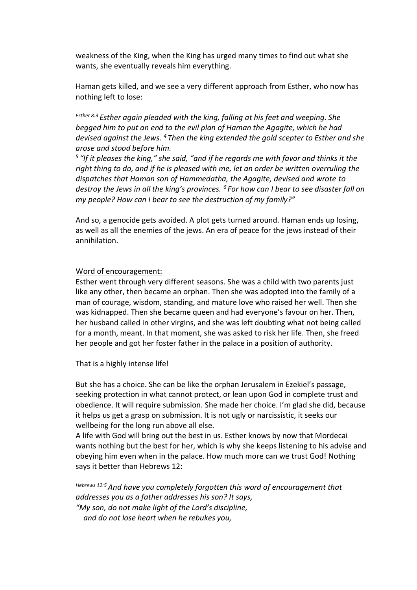weakness of the King, when the King has urged many times to find out what she wants, she eventually reveals him everything.

Haman gets killed, and we see a very different approach from Esther, who now has nothing left to lose:

*Esther 8:3 Esther again pleaded with the king, falling at his feet and weeping. She begged him to put an end to the evil plan of Haman the Agagite, which he had devised against the Jews. <sup>4</sup> Then the king extended the gold scepter to Esther and she arose and stood before him.*

*5 "If it pleases the king," she said, "and if he regards me with favor and thinks it the right thing to do, and if he is pleased with me, let an order be written overruling the dispatches that Haman son of Hammedatha, the Agagite, devised and wrote to destroy the Jews in all the king's provinces. <sup>6</sup> For how can I bear to see disaster fall on my people? How can I bear to see the destruction of my family?"*

And so, a genocide gets avoided. A plot gets turned around. Haman ends up losing, as well as all the enemies of the jews. An era of peace for the jews instead of their annihilation.

### Word of encouragement:

Esther went through very different seasons. She was a child with two parents just like any other, then became an orphan. Then she was adopted into the family of a man of courage, wisdom, standing, and mature love who raised her well. Then she was kidnapped. Then she became queen and had everyone's favour on her. Then, her husband called in other virgins, and she was left doubting what not being called for a month, meant. In that moment, she was asked to risk her life. Then, she freed her people and got her foster father in the palace in a position of authority.

That is a highly intense life!

But she has a choice. She can be like the orphan Jerusalem in Ezekiel's passage, seeking protection in what cannot protect, or lean upon God in complete trust and obedience. It will require submission. She made her choice. I'm glad she did, because it helps us get a grasp on submission. It is not ugly or narcissistic, it seeks our wellbeing for the long run above all else.

A life with God will bring out the best in us. Esther knows by now that Mordecai wants nothing but the best for her, which is why she keeps listening to his advise and obeying him even when in the palace. How much more can we trust God! Nothing says it better than Hebrews 12:

*Hebrews 12:5And have you completely forgotten this word of encouragement that addresses you as a father addresses his son? It says, "My son, do not make light of the Lord's discipline, and do not lose heart when he rebukes you,*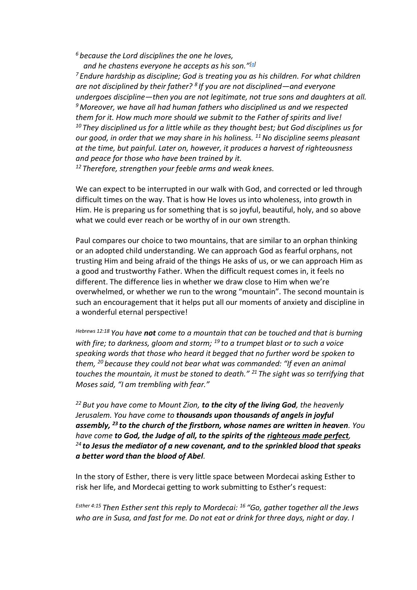*<sup>6</sup> because the Lord disciplines the one he loves,*

 *and he chastens everyone he accepts as his son."[\[a\]](https://www.biblegateway.com/passage/?search=Hebrews%2012&version=NIV#fen-NIV-30219a)*

*<sup>7</sup> Endure hardship as discipline; God is treating you as his children. For what children are not disciplined by their father? <sup>8</sup> If you are not disciplined—and everyone undergoes discipline—then you are not legitimate, not true sons and daughters at all. <sup>9</sup>Moreover, we have all had human fathers who disciplined us and we respected them for it. How much more should we submit to the Father of spirits and live! <sup>10</sup> They disciplined us for a little while as they thought best; but God disciplines us for our good, in order that we may share in his holiness. <sup>11</sup>No discipline seems pleasant at the time, but painful. Later on, however, it produces a harvest of righteousness and peace for those who have been trained by it. <sup>12</sup> Therefore, strengthen your feeble arms and weak knees.*

We can expect to be interrupted in our walk with God, and corrected or led through difficult times on the way. That is how He loves us into wholeness, into growth in Him. He is preparing us for something that is so joyful, beautiful, holy, and so above what we could ever reach or be worthy of in our own strength.

Paul compares our choice to two mountains, that are similar to an orphan thinking or an adopted child understanding. We can approach God as fearful orphans, not trusting Him and being afraid of the things He asks of us, or we can approach Him as a good and trustworthy Father. When the difficult request comes in, it feels no different. The difference lies in whether we draw close to Him when we're overwhelmed, or whether we run to the wrong "mountain". The second mountain is such an encouragement that it helps put all our moments of anxiety and discipline in a wonderful eternal perspective!

*Hebrews 12:18 You have not come to a mountain that can be touched and that is burning with fire; to darkness, gloom and storm; <sup>19</sup> to a trumpet blast or to such a voice speaking words that those who heard it begged that no further word be spoken to them, <sup>20</sup> because they could not bear what was commanded: "If even an animal touches the mountain, it must be stoned to death." <sup>21</sup> The sight was so terrifying that Moses said, "I am trembling with fear."*

*<sup>22</sup> But you have come to Mount Zion, to the city of the living God, the heavenly Jerusalem. You have come to thousands upon thousands of angels in joyful assembly, <sup>23</sup> to the church of the firstborn, whose names are written in heaven. You have come to God, the Judge of all, to the spirits of the righteous made perfect, <sup>24</sup> to Jesus the mediator of a new covenant, and to the sprinkled blood that speaks a better word than the blood of Abel.*

In the story of Esther, there is very little space between Mordecai asking Esther to risk her life, and Mordecai getting to work submitting to Esther's request:

*Esther 4:15 Then Esther sent this reply to Mordecai: <sup>16</sup> "Go, gather together all the Jews who are in Susa, and fast for me. Do not eat or drink for three days, night or day. I*